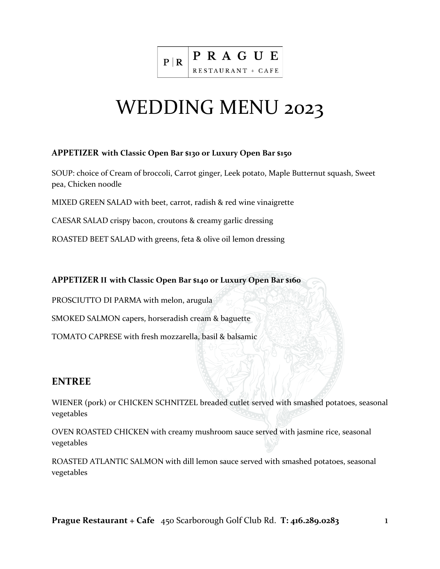

# WEDDING MENU 2023

#### **APPETIZER with Classic Open Bar \$130 or Luxury Open Bar \$150**

SOUP: choice of Cream of broccoli, Carrot ginger, Leek potato, Maple Butternut squash, Sweet pea, Chicken noodle

MIXED GREEN SALAD with beet, carrot, radish & red wine vinaigrette

CAESAR SALAD crispy bacon, croutons & creamy garlic dressing

ROASTED BEET SALAD with greens, feta & olive oil lemon dressing

#### **APPETIZER II with Classic Open Bar \$140 or Luxury Open Bar \$160**

PROSCIUTTO DI PARMA with melon, arugula

SMOKED SALMON capers, horseradish cream & baguette

TOMATO CAPRESE with fresh mozzarella, basil & balsamic

### **ENTREE**

WIENER (pork) or CHICKEN SCHNITZEL breaded cutlet served with smashed potatoes, seasonal vegetables

OVEN ROASTED CHICKEN with creamy mushroom sauce served with jasmine rice, seasonal vegetables

ROASTED ATLANTIC SALMON with dill lemon sauce served with smashed potatoes, seasonal vegetables

**Prague Restaurant + Cafe** 450 Scarborough Golf Club Rd. **T: 416.289.0283** 1